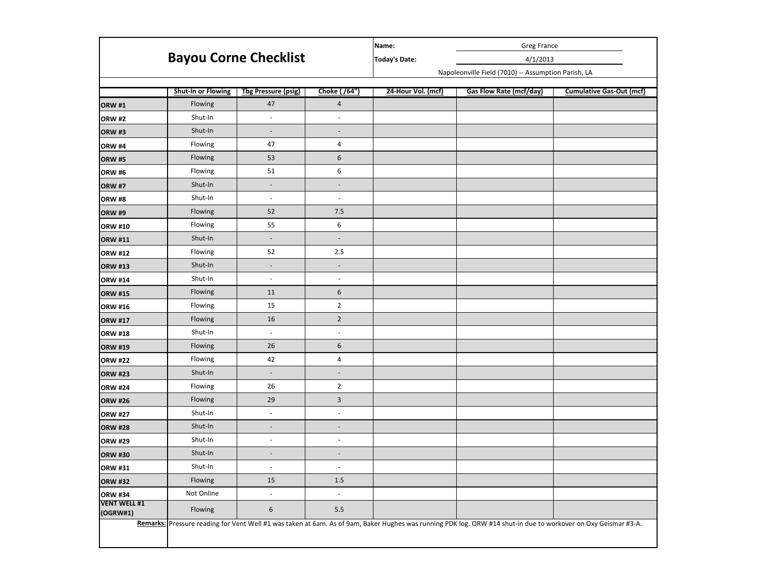|                                 | <b>Bayou Corne Checklist</b> |                            |                          | <b>Greg France</b><br>Name:                         |                                                                                                                                                                |                                 |  |  |
|---------------------------------|------------------------------|----------------------------|--------------------------|-----------------------------------------------------|----------------------------------------------------------------------------------------------------------------------------------------------------------------|---------------------------------|--|--|
|                                 |                              |                            |                          | <b>Today's Date:</b>                                | 4/1/2013                                                                                                                                                       |                                 |  |  |
|                                 |                              |                            |                          | Napoleonville Field (7010) -- Assumption Parish, LA |                                                                                                                                                                |                                 |  |  |
|                                 |                              |                            |                          |                                                     |                                                                                                                                                                |                                 |  |  |
|                                 | <b>Shut-In or Flowing</b>    | <b>Tbg Pressure (psig)</b> | Choke (/64")             | 24-Hour Vol. (mcf)                                  | <b>Gas Flow Rate (mcf/day)</b>                                                                                                                                 | <b>Cumulative Gas-Out (mcf)</b> |  |  |
| <b>ORW #1</b>                   | Flowing                      | 47                         | $\overline{a}$           |                                                     |                                                                                                                                                                |                                 |  |  |
| <b>ORW #2</b>                   | Shut-In                      | $\overline{\phantom{a}}$   | $\qquad \qquad -$        |                                                     |                                                                                                                                                                |                                 |  |  |
| <b>ORW #3</b>                   | Shut-In                      | $\overline{\phantom{a}}$   | $\overline{\phantom{a}}$ |                                                     |                                                                                                                                                                |                                 |  |  |
| <b>ORW #4</b>                   | Flowing                      | 47                         | 4                        |                                                     |                                                                                                                                                                |                                 |  |  |
| <b>ORW #5</b>                   | Flowing                      | 53                         | 6                        |                                                     |                                                                                                                                                                |                                 |  |  |
| <b>ORW #6</b>                   | Flowing                      | 51                         | 6                        |                                                     |                                                                                                                                                                |                                 |  |  |
| <b>ORW #7</b>                   | Shut-In                      | $\overline{\phantom{a}}$   | $\overline{\phantom{a}}$ |                                                     |                                                                                                                                                                |                                 |  |  |
| <b>ORW #8</b>                   | Shut-In                      | $\overline{\phantom{a}}$   | $\overline{\phantom{a}}$ |                                                     |                                                                                                                                                                |                                 |  |  |
| <b>ORW #9</b>                   | Flowing                      | 52                         | 7.5                      |                                                     |                                                                                                                                                                |                                 |  |  |
| <b>ORW #10</b>                  | Flowing                      | 55                         | 6                        |                                                     |                                                                                                                                                                |                                 |  |  |
| <b>ORW #11</b>                  | Shut-In                      | $\overline{\phantom{a}}$   | $\overline{\phantom{a}}$ |                                                     |                                                                                                                                                                |                                 |  |  |
| <b>ORW #12</b>                  | Flowing                      | 52                         | 2.5                      |                                                     |                                                                                                                                                                |                                 |  |  |
| <b>ORW #13</b>                  | Shut-In                      | $\overline{\phantom{a}}$   | $\overline{\phantom{a}}$ |                                                     |                                                                                                                                                                |                                 |  |  |
| <b>ORW #14</b>                  | Shut-In                      | $\overline{\phantom{a}}$   | $\blacksquare$           |                                                     |                                                                                                                                                                |                                 |  |  |
| <b>ORW #15</b>                  | Flowing                      | 11                         | 6                        |                                                     |                                                                                                                                                                |                                 |  |  |
| <b>ORW #16</b>                  | Flowing                      | 15                         | $\overline{2}$           |                                                     |                                                                                                                                                                |                                 |  |  |
| <b>ORW #17</b>                  | Flowing                      | 16                         | $\overline{2}$           |                                                     |                                                                                                                                                                |                                 |  |  |
| <b>ORW #18</b>                  | Shut-In                      | $\overline{\phantom{a}}$   | $\overline{\phantom{a}}$ |                                                     |                                                                                                                                                                |                                 |  |  |
| <b>ORW #19</b>                  | Flowing                      | 26                         | $\sqrt{6}$               |                                                     |                                                                                                                                                                |                                 |  |  |
| <b>ORW #22</b>                  | Flowing                      | 42                         | 4                        |                                                     |                                                                                                                                                                |                                 |  |  |
| <b>ORW #23</b>                  | Shut-In                      | $\overline{\phantom{a}}$   | $\blacksquare$           |                                                     |                                                                                                                                                                |                                 |  |  |
| <b>ORW #24</b>                  | Flowing                      | 26                         | $\overline{2}$           |                                                     |                                                                                                                                                                |                                 |  |  |
| <b>ORW #26</b>                  | Flowing                      | 29                         | $\mathbf{3}$             |                                                     |                                                                                                                                                                |                                 |  |  |
| <b>ORW #27</b>                  | Shut-In                      | $\overline{\phantom{a}}$   | $\blacksquare$           |                                                     |                                                                                                                                                                |                                 |  |  |
| <b>ORW #28</b>                  | Shut-In                      | $\overline{\phantom{a}}$   | $\blacksquare$           |                                                     |                                                                                                                                                                |                                 |  |  |
| <b>ORW #29</b>                  | Shut-In                      | $\overline{\phantom{a}}$   | $\overline{\phantom{a}}$ |                                                     |                                                                                                                                                                |                                 |  |  |
| <b>ORW #30</b>                  | Shut-In                      | $\overline{\phantom{a}}$   | $\overline{\phantom{a}}$ |                                                     |                                                                                                                                                                |                                 |  |  |
| <b>ORW #31</b>                  | Shut-In                      | $\overline{\phantom{a}}$   | $\overline{\phantom{a}}$ |                                                     |                                                                                                                                                                |                                 |  |  |
| <b>ORW #32</b>                  | Flowing                      | 15                         | 1.5                      |                                                     |                                                                                                                                                                |                                 |  |  |
| <b>ORW #34</b>                  | Not Online                   | $\overline{\phantom{a}}$   | $\overline{\phantom{a}}$ |                                                     |                                                                                                                                                                |                                 |  |  |
| <b>VENT WELL #1</b><br>(OGRW#1) | Flowing                      | $\boldsymbol{6}$           | 5.5                      |                                                     |                                                                                                                                                                |                                 |  |  |
|                                 |                              |                            |                          |                                                     | Remarks: Pressure reading for Vent Well #1 was taken at 6am. As of 9am, Baker Hughes was running PDK log. ORW #14 shut-in due to workover on Oxy Geismar #3-A. |                                 |  |  |